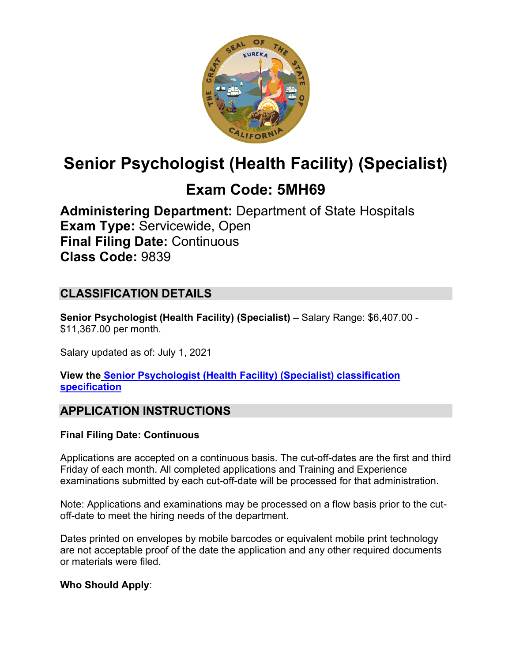

# **Senior Psychologist (Health Facility) (Specialist)**

## **Exam Code: 5MH69**

**Administering Department:** Department of State Hospitals **Exam Type:** Servicewide, Open **Final Filing Date:** Continuous **Class Code:** 9839

## **CLASSIFICATION DETAILS**

**Senior Psychologist (Health Facility) (Specialist) –** Salary Range: \$6,407.00 - \$11,367.00 per month.

Salary updated as of: July 1, 2021

**View the [Senior Psychologist \(Health Facility\) \(Specialist\) classification](https://www.calhr.ca.gov/state-hr-professionals/pages/9839.aspx)  [specification](https://www.calhr.ca.gov/state-hr-professionals/pages/9839.aspx)**

## **APPLICATION INSTRUCTIONS**

#### **Final Filing Date: Continuous**

Applications are accepted on a continuous basis. The cut-off-dates are the first and third Friday of each month. All completed applications and Training and Experience examinations submitted by each cut-off-date will be processed for that administration.

Note: Applications and examinations may be processed on a flow basis prior to the cutoff-date to meet the hiring needs of the department.

Dates printed on envelopes by mobile barcodes or equivalent mobile print technology are not acceptable proof of the date the application and any other required documents or materials were filed.

#### **Who Should Apply**: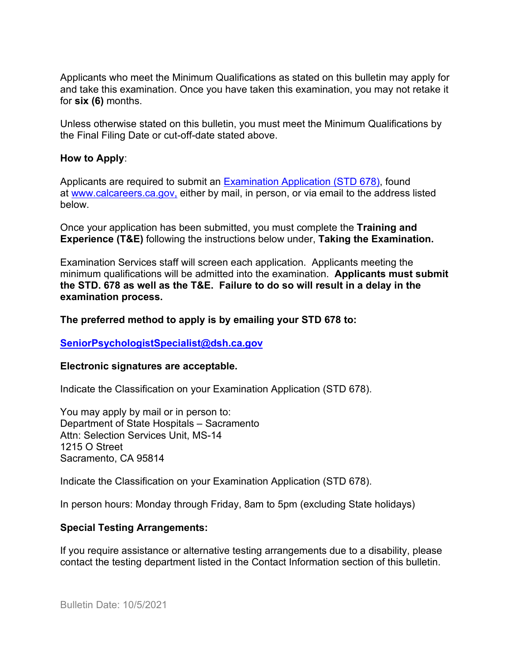Applicants who meet the Minimum Qualifications as stated on this bulletin may apply for and take this examination. Once you have taken this examination, you may not retake it for **six (6)** months.

Unless otherwise stated on this bulletin, you must meet the Minimum Qualifications by the Final Filing Date or cut-off-date stated above.

#### **How to Apply**:

Applicants are required to submit an [Examination Application \(STD 678\),](https://jobs.ca.gov/pdf/std678.pdf) found at [www.calcareers.ca.gov,](http://www.calcareers.ca.gov/) either by mail, in person, or via email to the address listed below.

Once your application has been submitted, you must complete the **Training and Experience (T&E)** following the instructions below under, **Taking the Examination.**

Examination Services staff will screen each application. Applicants meeting the minimum qualifications will be admitted into the examination. **Applicants must submit the STD. 678 as well as the T&E. Failure to do so will result in a delay in the examination process.**

#### **The preferred method to apply is by emailing your STD 678 to:**

#### **[SeniorPsychologistSpecialist@dsh.ca.gov](mailto:SeniorPsychologistSpecialist@dsh.ca.gov)**

#### **Electronic signatures are acceptable.**

Indicate the Classification on your Examination Application (STD 678).

You may apply by mail or in person to: Department of State Hospitals – Sacramento Attn: Selection Services Unit, MS-14 1215 O Street Sacramento, CA 95814

Indicate the Classification on your Examination Application (STD 678).

In person hours: Monday through Friday, 8am to 5pm (excluding State holidays)

#### **Special Testing Arrangements:**

If you require assistance or alternative testing arrangements due to a disability, please contact the testing department listed in the Contact Information section of this bulletin.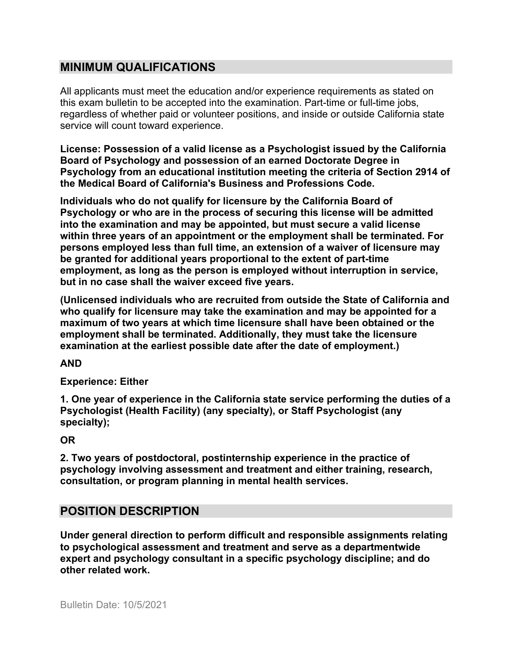## **MINIMUM QUALIFICATIONS**

All applicants must meet the education and/or experience requirements as stated on this exam bulletin to be accepted into the examination. Part-time or full-time jobs, regardless of whether paid or volunteer positions, and inside or outside California state service will count toward experience.

**License: Possession of a valid license as a Psychologist issued by the California Board of Psychology and possession of an earned Doctorate Degree in Psychology from an educational institution meeting the criteria of Section 2914 of the Medical Board of California's Business and Professions Code.**

**Individuals who do not qualify for licensure by the California Board of Psychology or who are in the process of securing this license will be admitted into the examination and may be appointed, but must secure a valid license within three years of an appointment or the employment shall be terminated. For persons employed less than full time, an extension of a waiver of licensure may be granted for additional years proportional to the extent of part-time employment, as long as the person is employed without interruption in service, but in no case shall the waiver exceed five years.**

**(Unlicensed individuals who are recruited from outside the State of California and who qualify for licensure may take the examination and may be appointed for a maximum of two years at which time licensure shall have been obtained or the employment shall be terminated. Additionally, they must take the licensure examination at the earliest possible date after the date of employment.)** 

**AND**

#### **Experience: Either**

**1. One year of experience in the California state service performing the duties of a Psychologist (Health Facility) (any specialty), or Staff Psychologist (any specialty);** 

**OR**

**2. Two years of postdoctoral, postinternship experience in the practice of psychology involving assessment and treatment and either training, research, consultation, or program planning in mental health services.**

## **POSITION DESCRIPTION**

**Under general direction to perform difficult and responsible assignments relating to psychological assessment and treatment and serve as a departmentwide expert and psychology consultant in a specific psychology discipline; and do other related work.**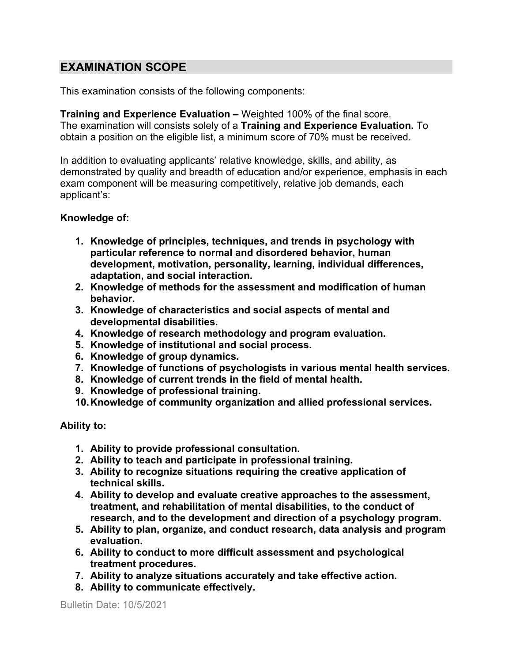## **EXAMINATION SCOPE**

This examination consists of the following components:

**Training and Experience Evaluation –** Weighted 100% of the final score. The examination will consists solely of a **Training and Experience Evaluation.** To obtain a position on the eligible list, a minimum score of 70% must be received.

In addition to evaluating applicants' relative knowledge, skills, and ability, as demonstrated by quality and breadth of education and/or experience, emphasis in each exam component will be measuring competitively, relative job demands, each applicant's:

#### **Knowledge of:**

- **1. Knowledge of principles, techniques, and trends in psychology with particular reference to normal and disordered behavior, human development, motivation, personality, learning, individual differences, adaptation, and social interaction.**
- **2. Knowledge of methods for the assessment and modification of human behavior.**
- **3. Knowledge of characteristics and social aspects of mental and developmental disabilities.**
- **4. Knowledge of research methodology and program evaluation.**
- **5. Knowledge of institutional and social process.**
- **6. Knowledge of group dynamics.**
- **7. Knowledge of functions of psychologists in various mental health services.**
- **8. Knowledge of current trends in the field of mental health.**
- **9. Knowledge of professional training.**
- **10.Knowledge of community organization and allied professional services.**

#### **Ability to:**

- **1. Ability to provide professional consultation.**
- **2. Ability to teach and participate in professional training.**
- **3. Ability to recognize situations requiring the creative application of technical skills.**
- **4. Ability to develop and evaluate creative approaches to the assessment, treatment, and rehabilitation of mental disabilities, to the conduct of research, and to the development and direction of a psychology program.**
- **5. Ability to plan, organize, and conduct research, data analysis and program evaluation.**
- **6. Ability to conduct to more difficult assessment and psychological treatment procedures.**
- **7. Ability to analyze situations accurately and take effective action.**
- **8. Ability to communicate effectively.**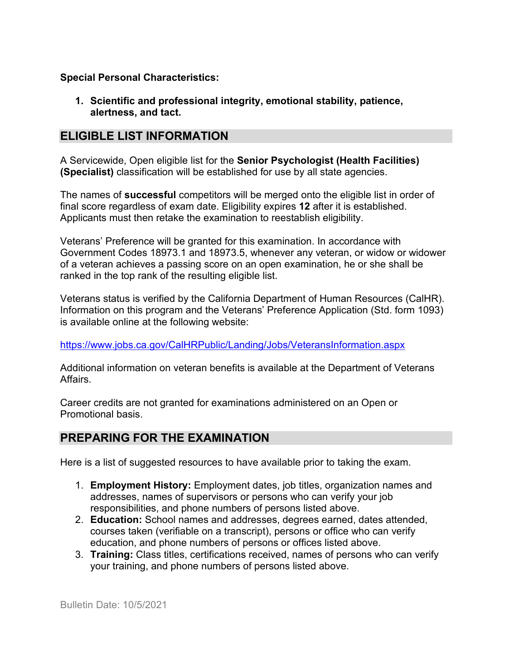#### **Special Personal Characteristics:**

**1. Scientific and professional integrity, emotional stability, patience, alertness, and tact.**

## **ELIGIBLE LIST INFORMATION**

A Servicewide, Open eligible list for the **Senior Psychologist (Health Facilities) (Specialist)** classification will be established for use by all state agencies.

The names of **successful** competitors will be merged onto the eligible list in order of final score regardless of exam date. Eligibility expires **12** after it is established. Applicants must then retake the examination to reestablish eligibility.

Veterans' Preference will be granted for this examination. In accordance with Government Codes 18973.1 and 18973.5, whenever any veteran, or widow or widower of a veteran achieves a passing score on an open examination, he or she shall be ranked in the top rank of the resulting eligible list.

Veterans status is verified by the California Department of Human Resources (CalHR). Information on this program and the Veterans' Preference Application (Std. form 1093) is available online at the following website:

#### <https://www.jobs.ca.gov/CalHRPublic/Landing/Jobs/VeteransInformation.aspx>

Additional information on veteran benefits is available at the Department of Veterans Affairs.

Career credits are not granted for examinations administered on an Open or Promotional basis.

## **PREPARING FOR THE EXAMINATION**

Here is a list of suggested resources to have available prior to taking the exam.

- 1. **Employment History:** Employment dates, job titles, organization names and addresses, names of supervisors or persons who can verify your job responsibilities, and phone numbers of persons listed above.
- 2. **Education:** School names and addresses, degrees earned, dates attended, courses taken (verifiable on a transcript), persons or office who can verify education, and phone numbers of persons or offices listed above.
- 3. **Training:** Class titles, certifications received, names of persons who can verify your training, and phone numbers of persons listed above.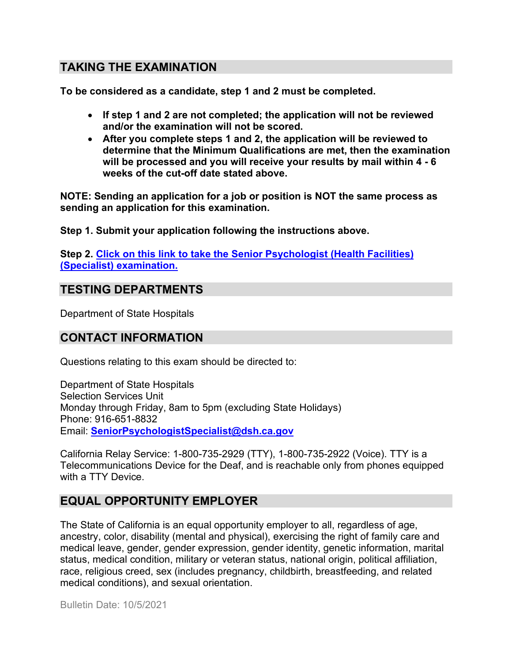## **TAKING THE EXAMINATION**

**To be considered as a candidate, step 1 and 2 must be completed.**

- **If step 1 and 2 are not completed; the application will not be reviewed and/or the examination will not be scored.**
- **After you complete steps 1 and 2, the application will be reviewed to determine that the Minimum Qualifications are met, then the examination will be processed and you will receive your results by mail within 4 - 6 weeks of the cut-off date stated above.**

**NOTE: Sending an application for a job or position is NOT the same process as sending an application for this examination.**

**Step 1. Submit your application following the instructions above.**

**Step 2. Click on this link to take the [Senior Psychologist \(Health Facilities\)](https://www.surveymonkey.com/r/TM2XG8C)  (Specialist) [examination.](https://www.surveymonkey.com/r/TM2XG8C)**

## **TESTING DEPARTMENTS**

Department of State Hospitals

## **CONTACT INFORMATION**

Questions relating to this exam should be directed to:

Department of State Hospitals Selection Services Unit Monday through Friday, 8am to 5pm (excluding State Holidays) Phone: 916-651-8832 Email: **[SeniorPsychologistSpecialist@dsh.ca.gov](mailto:SeniorPsychologistSpecialist@dsh.ca.gov)**

California Relay Service: 1-800-735-2929 (TTY), 1-800-735-2922 (Voice). TTY is a Telecommunications Device for the Deaf, and is reachable only from phones equipped with a TTY Device.

## **EQUAL OPPORTUNITY EMPLOYER**

The State of California is an equal opportunity employer to all, regardless of age, ancestry, color, disability (mental and physical), exercising the right of family care and medical leave, gender, gender expression, gender identity, genetic information, marital status, medical condition, military or veteran status, national origin, political affiliation, race, religious creed, sex (includes pregnancy, childbirth, breastfeeding, and related medical conditions), and sexual orientation.

Bulletin Date: 10/5/2021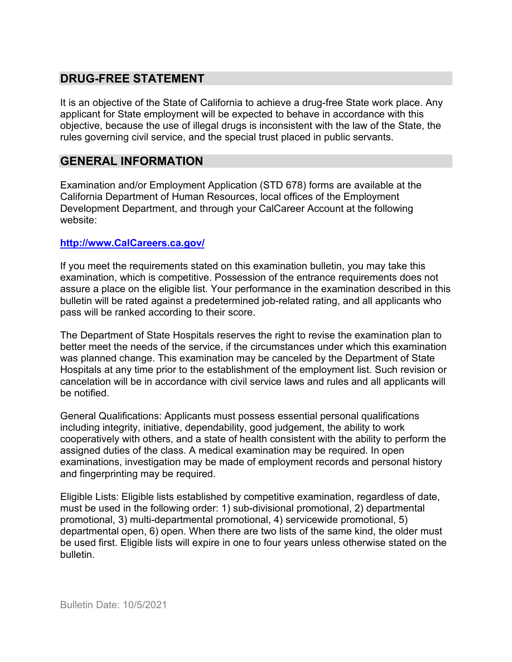## **DRUG-FREE STATEMENT**

It is an objective of the State of California to achieve a drug-free State work place. Any applicant for State employment will be expected to behave in accordance with this objective, because the use of illegal drugs is inconsistent with the law of the State, the rules governing civil service, and the special trust placed in public servants.

## **GENERAL INFORMATION**

Examination and/or Employment Application (STD 678) forms are available at the California Department of Human Resources, local offices of the Employment Development Department, and through your CalCareer Account at the following website:

#### **http://www.CalCareers.ca.gov/**

If you meet the requirements stated on this examination bulletin, you may take this examination, which is competitive. Possession of the entrance requirements does not assure a place on the eligible list. Your performance in the examination described in this bulletin will be rated against a predetermined job-related rating, and all applicants who pass will be ranked according to their score.

The Department of State Hospitals reserves the right to revise the examination plan to better meet the needs of the service, if the circumstances under which this examination was planned change. This examination may be canceled by the Department of State Hospitals at any time prior to the establishment of the employment list. Such revision or cancelation will be in accordance with civil service laws and rules and all applicants will be notified.

General Qualifications: Applicants must possess essential personal qualifications including integrity, initiative, dependability, good judgement, the ability to work cooperatively with others, and a state of health consistent with the ability to perform the assigned duties of the class. A medical examination may be required. In open examinations, investigation may be made of employment records and personal history and fingerprinting may be required.

Eligible Lists: Eligible lists established by competitive examination, regardless of date, must be used in the following order: 1) sub-divisional promotional, 2) departmental promotional, 3) multi-departmental promotional, 4) servicewide promotional, 5) departmental open, 6) open. When there are two lists of the same kind, the older must be used first. Eligible lists will expire in one to four years unless otherwise stated on the bulletin.